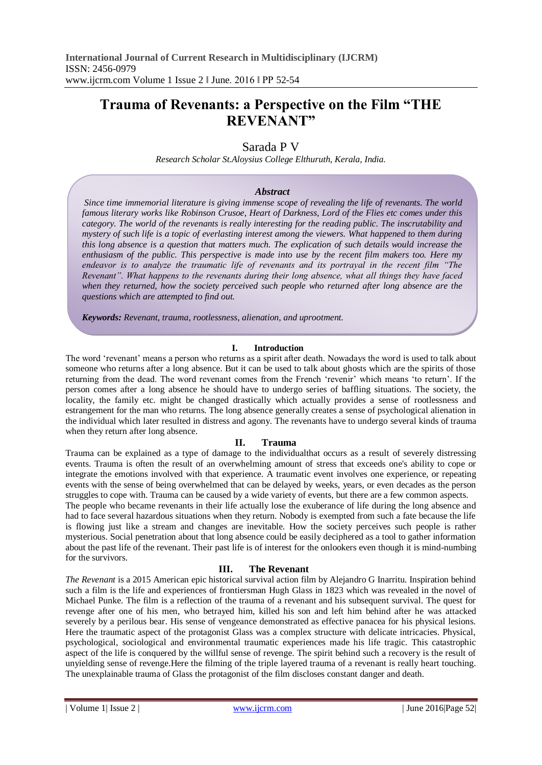# **Trauma of Revenants: a Perspective on the Film "THE REVENANT"**

# Sarada P V

*Research Scholar St.Aloysius College Elthuruth, Kerala, India.*

#### *Abstract*

*Since time immemorial literature is giving immense scope of revealing the life of revenants. The world famous literary works like Robinson Crusoe, Heart of Darkness, Lord of the Flies etc comes under this category. The world of the revenants is really interesting for the reading public. The inscrutability and mystery of such life is a topic of everlasting interest among the viewers. What happened to them during this long absence is a question that matters much. The explication of such details would increase the enthusiasm of the public. This perspective is made into use by the recent film makers too. Here my endeavor is to analyze the traumatic life of revenants and its portrayal in the recent film "The Revenant". What happens to the revenants during their long absence, what all things they have faced when they returned, how the society perceived such people who returned after long absence are the questions which are attempted to find out.*

*Keywords: Revenant, trauma, rootlessness, alienation, and uprootment.*

#### **I. Introduction**

The word 'revenant' means a person who returns as a spirit after death. Nowadays the word is used to talk about someone who returns after a long absence. But it can be used to talk about ghosts which are the spirits of those returning from the dead. The word revenant comes from the French 'revenir' which means 'to return'. If the person comes after a long absence he should have to undergo series of baffling situations. The society, the locality, the family etc. might be changed drastically which actually provides a sense of rootlessness and estrangement for the man who returns. The long absence generally creates a sense of psychological alienation in the individual which later resulted in distress and agony. The revenants have to undergo several kinds of trauma when they return after long absence.

## **II. Trauma**

Trauma can be explained as a type of damage to the [individualt](https://en.wikipedia.org/wiki/Psyche_%28psychology%29)hat occurs as a result of severely distressing events. Trauma is often the result of an overwhelming amount of [stress](https://en.wikipedia.org/wiki/Stress_%28psychological%29) that exceeds one's ability to cope or integrate the [emotions](https://en.wikipedia.org/wiki/Emotions) involved with that experience. A traumatic event involves one experience, or repeating events with the sense of being overwhelmed that can be delayed by weeks, years, or even decades as the person struggles to cope with. Trauma can be caused by a wide variety of events, but there are a few common aspects.

The people who became revenants in their life actually lose the exuberance of life during the long absence and had to face several hazardous situations when they return. Nobody is exempted from such a fate because the life is flowing just like a stream and changes are inevitable. How the society perceives such people is rather mysterious. Social penetration about that long absence could be easily deciphered as a tool to gather information about the past life of the revenant. Their past life is of interest for the onlookers even though it is mind-numbing for the survivors.

## **III. The Revenant**

*The Revenant* is a 2015 American epic historical survival action film by Alejandro G Inarritu. Inspiration behind such a film is the life and experiences of frontiersman Hugh Glass in 1823 which was revealed in the novel of Michael Punke. The film is a reflection of the trauma of a revenant and his subsequent survival. The quest for revenge after one of his men, who betrayed him, killed his son and left him behind after he was attacked severely by a perilous bear. His sense of vengeance demonstrated as effective panacea for his physical lesions. Here the traumatic aspect of the protagonist Glass was a complex structure with delicate intricacies. Physical, psychological, sociological and environmental traumatic experiences made his life tragic. This catastrophic aspect of the life is conquered by the willful sense of revenge. The spirit behind such a recovery is the result of unyielding sense of revenge.Here the filming of the triple layered trauma of a revenant is really heart touching. The unexplainable trauma of Glass the protagonist of the film discloses constant danger and death.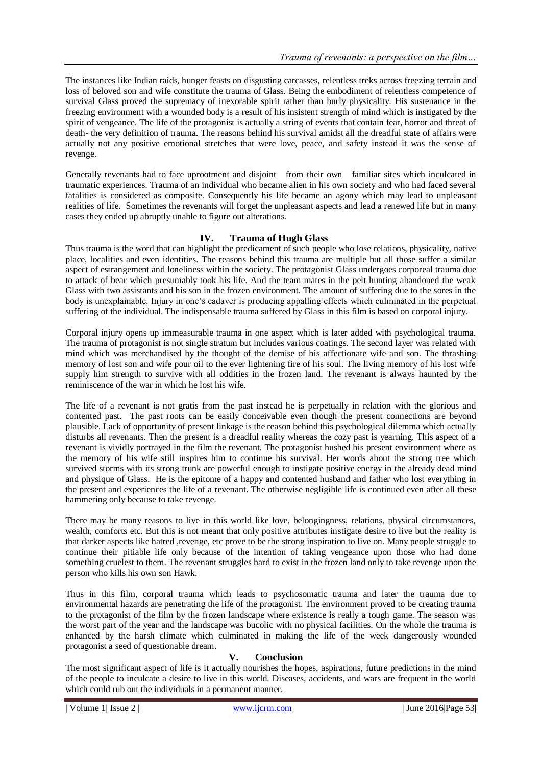The instances like Indian raids, hunger feasts on disgusting carcasses, relentless treks across freezing terrain and loss of beloved son and wife constitute the trauma of Glass. Being the embodiment of relentless competence of survival Glass proved the supremacy of inexorable spirit rather than burly physicality. His sustenance in the freezing environment with a wounded body is a result of his insistent strength of mind which is instigated by the spirit of vengeance. The life of the protagonist is actually a string of events that contain fear, horror and threat of death- the very definition of trauma. The reasons behind his survival amidst all the dreadful state of affairs were actually not any positive emotional stretches that were love, peace, and safety instead it was the sense of revenge.

Generally revenants had to face uprootment and disjoint from their own familiar sites which inculcated in traumatic experiences. Trauma of an individual who became alien in his own society and who had faced several fatalities is considered as composite. Consequently his life became an agony which may lead to unpleasant realities of life. Sometimes the revenants will forget the unpleasant aspects and lead a renewed life but in many cases they ended up abruptly unable to figure out alterations.

# **IV. Trauma of Hugh Glass**

Thus trauma is the word that can highlight the predicament of such people who lose relations, physicality, native place, localities and even identities. The reasons behind this trauma are multiple but all those suffer a similar aspect of estrangement and loneliness within the society. The protagonist Glass undergoes corporeal trauma due to attack of bear which presumably took his life. And the team mates in the pelt hunting abandoned the weak Glass with two assistants and his son in the frozen environment. The amount of suffering due to the sores in the body is unexplainable. Injury in one's cadaver is producing appalling effects which culminated in the perpetual suffering of the individual. The indispensable trauma suffered by Glass in this film is based on corporal injury.

Corporal injury opens up immeasurable trauma in one aspect which is later added with psychological trauma. The trauma of protagonist is not single stratum but includes various coatings. The second layer was related with mind which was merchandised by the thought of the demise of his affectionate wife and son. The thrashing memory of lost son and wife pour oil to the ever lightening fire of his soul. The living memory of his lost wife supply him strength to survive with all oddities in the frozen land. The revenant is always haunted by the reminiscence of the war in which he lost his wife.

The life of a revenant is not gratis from the past instead he is perpetually in relation with the glorious and contented past. The past roots can be easily conceivable even though the present connections are beyond plausible. Lack of opportunity of present linkage is the reason behind this psychological dilemma which actually disturbs all revenants. Then the present is a dreadful reality whereas the cozy past is yearning. This aspect of a revenant is vividly portrayed in the film the revenant. The protagonist hushed his present environment where as the memory of his wife still inspires him to continue his survival. Her words about the strong tree which survived storms with its strong trunk are powerful enough to instigate positive energy in the already dead mind and physique of Glass. He is the epitome of a happy and contented husband and father who lost everything in the present and experiences the life of a revenant. The otherwise negligible life is continued even after all these hammering only because to take revenge.

There may be many reasons to live in this world like love, belongingness, relations, physical circumstances, wealth, comforts etc. But this is not meant that only positive attributes instigate desire to live but the reality is that darker aspects like hatred ,revenge, etc prove to be the strong inspiration to live on. Many people struggle to continue their pitiable life only because of the intention of taking vengeance upon those who had done something cruelest to them. The revenant struggles hard to exist in the frozen land only to take revenge upon the person who kills his own son Hawk.

Thus in this film, corporal trauma which leads to psychosomatic trauma and later the trauma due to environmental hazards are penetrating the life of the protagonist. The environment proved to be creating trauma to the protagonist of the film by the frozen landscape where existence is really a tough game. The season was the worst part of the year and the landscape was bucolic with no physical facilities. On the whole the trauma is enhanced by the harsh climate which culminated in making the life of the week dangerously wounded protagonist a seed of questionable dream.

## **V. Conclusion**

The most significant aspect of life is it actually nourishes the hopes, aspirations, future predictions in the mind of the people to inculcate a desire to live in this world. Diseases, accidents, and wars are frequent in the world which could rub out the individuals in a permanent manner.